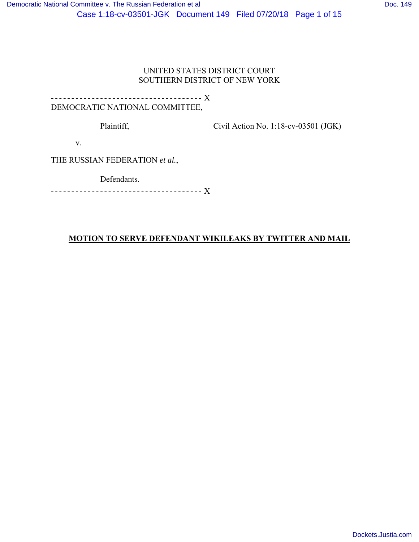## UNITED STATES DISTRICT COURT SOUTHERN DISTRICT OF NEW YORK

# - - - - - - - - - - - - - - - - - - - - - - - - - - - - - - - - - - - - - X DEMOCRATIC NATIONAL COMMITTEE,

Plaintiff,

Civil Action No. 1:18-cv-03501 (JGK)

v.

THE RUSSIAN FEDERATION *et al.*,

Defendants.

- - - - - - - - - - - - - - - - - - - - - - - - - - - - - - - - - - - - - X

# **MOTION TO SERVE DEFENDANT WIKILEAKS BY TWITTER AND MAIL**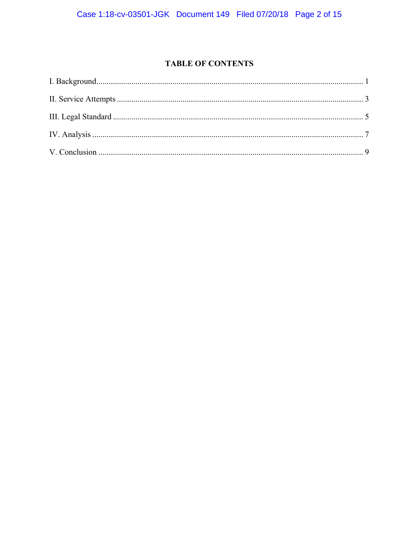# **TABLE OF CONTENTS**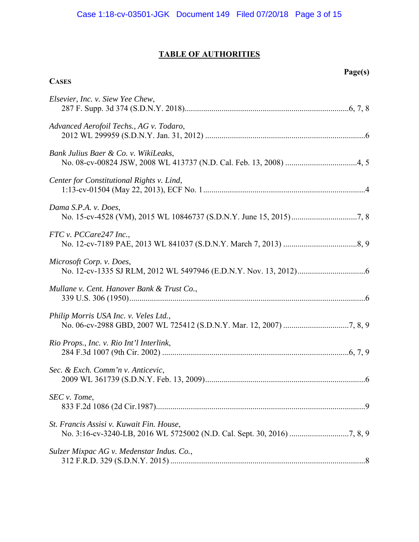# **TABLE OF AUTHORITIES**

**CASES**

# **Page(s)**

| Elsevier, Inc. v. Siew Yee Chew,           |
|--------------------------------------------|
| Advanced Aerofoil Techs., AG v. Todaro,    |
| Bank Julius Baer & Co. v. WikiLeaks,       |
| Center for Constitutional Rights v. Lind,  |
| Dama S.P.A. v. Does,                       |
| FTC v. PCCare247 Inc.,                     |
| Microsoft Corp. v. Does,                   |
| Mullane v. Cent. Hanover Bank & Trust Co., |
| Philip Morris USA Inc. v. Veles Ltd.,      |
| Rio Props., Inc. v. Rio Int'l Interlink,   |
| Sec. & Exch. Comm'n v. Anticevic,          |
| SEC v. Tome,                               |
| St. Francis Assisi v. Kuwait Fin. House,   |
| Sulzer Mixpac AG v. Medenstar Indus. Co.,  |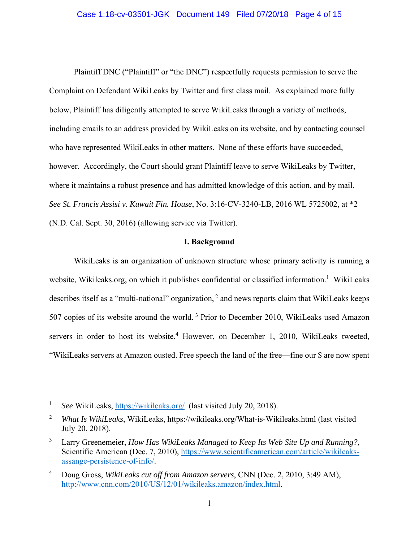#### Case 1:18-cv-03501-JGK Document 149 Filed 07/20/18 Page 4 of 15

Plaintiff DNC ("Plaintiff" or "the DNC") respectfully requests permission to serve the Complaint on Defendant WikiLeaks by Twitter and first class mail. As explained more fully below, Plaintiff has diligently attempted to serve WikiLeaks through a variety of methods, including emails to an address provided by WikiLeaks on its website, and by contacting counsel who have represented WikiLeaks in other matters. None of these efforts have succeeded, however. Accordingly, the Court should grant Plaintiff leave to serve WikiLeaks by Twitter, where it maintains a robust presence and has admitted knowledge of this action, and by mail. *See St. Francis Assisi v. Kuwait Fin. House*, No. 3:16-CV-3240-LB, 2016 WL 5725002, at \*2 (N.D. Cal. Sept. 30, 2016) (allowing service via Twitter).

#### **I. Background**

WikiLeaks is an organization of unknown structure whose primary activity is running a website, Wikileaks.org, on which it publishes confidential or classified information.<sup>1</sup> WikiLeaks describes itself as a "multi-national" organization,  $2$  and news reports claim that WikiLeaks keeps 507 copies of its website around the world. 3 Prior to December 2010, WikiLeaks used Amazon servers in order to host its website.<sup>4</sup> However, on December 1, 2010, WikiLeaks tweeted, "WikiLeaks servers at Amazon ousted. Free speech the land of the free—fine our \$ are now spent

1

<sup>1</sup> *See* WikiLeaks, https://wikileaks.org/ (last visited July 20, 2018).

<sup>2</sup> *What Is WikiLeaks*, WikiLeaks, https://wikileaks.org/What-is-Wikileaks.html (last visited July 20, 2018).

<sup>3</sup> Larry Greenemeier, *How Has WikiLeaks Managed to Keep Its Web Site Up and Running?*, Scientific American (Dec. 7, 2010), https://www.scientificamerican.com/article/wikileaksassange-persistence-of-info/.

<sup>4</sup> Doug Gross, *WikiLeaks cut off from Amazon servers*, CNN (Dec. 2, 2010, 3:49 AM), http://www.cnn.com/2010/US/12/01/wikileaks.amazon/index.html.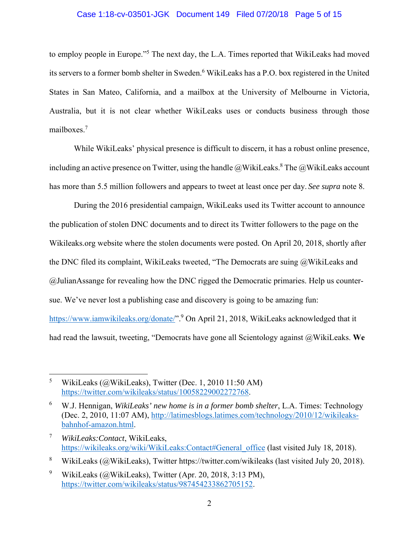#### Case 1:18-cv-03501-JGK Document 149 Filed 07/20/18 Page 5 of 15

to employ people in Europe."<sup>5</sup> The next day, the L.A. Times reported that WikiLeaks had moved its servers to a former bomb shelter in Sweden.<sup>6</sup> WikiLeaks has a P.O. box registered in the United States in San Mateo, California, and a mailbox at the University of Melbourne in Victoria, Australia, but it is not clear whether WikiLeaks uses or conducts business through those mailboxes.<sup>7</sup>

While WikiLeaks' physical presence is difficult to discern, it has a robust online presence, including an active presence on Twitter, using the handle  $@$ WikiLeaks.<sup>8</sup> The  $@$ WikiLeaks account has more than 5.5 million followers and appears to tweet at least once per day. *See supra* note 8.

During the 2016 presidential campaign, WikiLeaks used its Twitter account to announce the publication of stolen DNC documents and to direct its Twitter followers to the page on the Wikileaks.org website where the stolen documents were posted. On April 20, 2018, shortly after the DNC filed its complaint, WikiLeaks tweeted, "The Democrats are suing  $@$ WikiLeaks and @JulianAssange for revealing how the DNC rigged the Democratic primaries. Help us countersue. We've never lost a publishing case and discovery is going to be amazing fun: https://www.iamwikileaks.org/donate/".<sup>9</sup> On April 21, 2018, WikiLeaks acknowledged that it had read the lawsuit, tweeting, "Democrats have gone all Scientology against @WikiLeaks. **We** 

1

<sup>5</sup> WikiLeaks (@WikiLeaks), Twitter (Dec. 1, 2010 11:50 AM) https://twitter.com/wikileaks/status/10058229002272768.

<sup>6</sup> W.J. Hennigan, *WikiLeaks' new home is in a former bomb shelter*, L.A. Times: Technology (Dec. 2, 2010, 11:07 AM), http://latimesblogs.latimes.com/technology/2010/12/wikileaksbahnhof-amazon.html.

<sup>7</sup> *WikiLeaks:Contact*, WikiLeaks, https://wikileaks.org/wiki/WikiLeaks:Contact#General\_office (last visited July 18, 2018).

<sup>8</sup> WikiLeaks (@WikiLeaks), Twitter https://twitter.com/wikileaks (last visited July 20, 2018).

<sup>9</sup> WikiLeaks (@WikiLeaks), Twitter (Apr. 20, 2018, 3:13 PM), https://twitter.com/wikileaks/status/987454233862705152.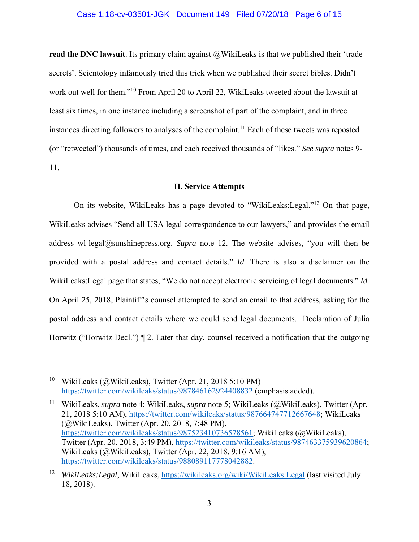#### Case 1:18-cv-03501-JGK Document 149 Filed 07/20/18 Page 6 of 15

**read the DNC lawsuit**. Its primary claim against @WikiLeaks is that we published their 'trade secrets'. Scientology infamously tried this trick when we published their secret bibles. Didn't work out well for them."<sup>10</sup> From April 20 to April 22, WikiLeaks tweeted about the lawsuit at least six times, in one instance including a screenshot of part of the complaint, and in three instances directing followers to analyses of the complaint.<sup>11</sup> Each of these tweets was reposted (or "retweeted") thousands of times, and each received thousands of "likes." *See supra* notes 9- 11.

#### **II. Service Attempts**

On its website, WikiLeaks has a page devoted to "WikiLeaks:Legal."12 On that page, WikiLeaks advises "Send all USA legal correspondence to our lawyers," and provides the email address wl-legal@sunshinepress.org. *Supra* note 12*.* The website advises, "you will then be provided with a postal address and contact details." *Id.* There is also a disclaimer on the WikiLeaks:Legal page that states, "We do not accept electronic servicing of legal documents." *Id.*  On April 25, 2018, Plaintiff's counsel attempted to send an email to that address, asking for the postal address and contact details where we could send legal documents. Declaration of Julia Horwitz ("Horwitz Decl.") ¶ 2. Later that day, counsel received a notification that the outgoing

 $\overline{a}$ 

11 WikiLeaks, *supra* note 4; WikiLeaks, *supra* note 5; WikiLeaks (@WikiLeaks), Twitter (Apr. 21, 2018 5:10 AM), https://twitter.com/wikileaks/status/987664747712667648; WikiLeaks (@WikiLeaks), Twitter (Apr. 20, 2018, 7:48 PM), https://twitter.com/wikileaks/status/987523410736578561; WikiLeaks (@WikiLeaks), Twitter (Apr. 20, 2018, 3:49 PM), https://twitter.com/wikileaks/status/987463375939620864; WikiLeaks (@WikiLeaks), Twitter (Apr. 22, 2018, 9:16 AM), https://twitter.com/wikileaks/status/988089117778042882.

<sup>&</sup>lt;sup>10</sup> WikiLeaks (@WikiLeaks), Twitter (Apr. 21, 2018 5:10 PM) https://twitter.com/wikileaks/status/987846162924408832 (emphasis added).

<sup>12</sup> *WikiLeaks:Legal*, WikiLeaks, https://wikileaks.org/wiki/WikiLeaks:Legal (last visited July 18, 2018).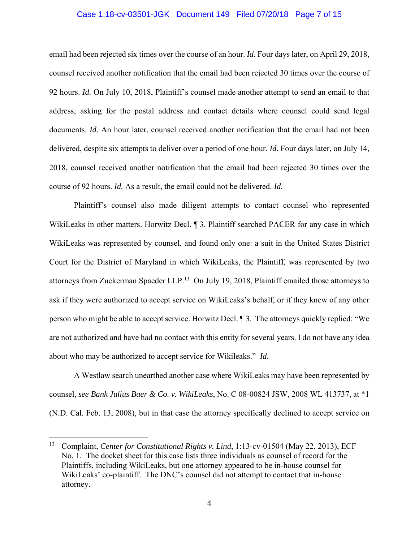## Case 1:18-cv-03501-JGK Document 149 Filed 07/20/18 Page 7 of 15

email had been rejected six times over the course of an hour. *Id.* Four days later, on April 29, 2018, counsel received another notification that the email had been rejected 30 times over the course of 92 hours. *Id.* On July 10, 2018, Plaintiff's counsel made another attempt to send an email to that address, asking for the postal address and contact details where counsel could send legal documents. *Id.* An hour later, counsel received another notification that the email had not been delivered, despite six attempts to deliver over a period of one hour. *Id.* Four days later, on July 14, 2018, counsel received another notification that the email had been rejected 30 times over the course of 92 hours. *Id.* As a result, the email could not be delivered. *Id.*

Plaintiff's counsel also made diligent attempts to contact counsel who represented WikiLeaks in other matters. Horwitz Decl. ¶ 3. Plaintiff searched PACER for any case in which WikiLeaks was represented by counsel, and found only one: a suit in the United States District Court for the District of Maryland in which WikiLeaks, the Plaintiff, was represented by two attorneys from Zuckerman Spaeder LLP.<sup>13</sup> On July 19, 2018, Plaintiff emailed those attorneys to ask if they were authorized to accept service on WikiLeaks's behalf, or if they knew of any other person who might be able to accept service. Horwitz Decl. ¶ 3. The attorneys quickly replied: "We are not authorized and have had no contact with this entity for several years. I do not have any idea about who may be authorized to accept service for Wikileaks." *Id.*

A Westlaw search unearthed another case where WikiLeaks may have been represented by counsel, *see Bank Julius Baer & Co. v. WikiLeaks*, No. C 08-00824 JSW, 2008 WL 413737, at \*1 (N.D. Cal. Feb. 13, 2008), but in that case the attorney specifically declined to accept service on

 $\overline{a}$ 

<sup>&</sup>lt;sup>13</sup> Complaint, *Center for Constitutional Rights v. Lind*, 1:13-cv-01504 (May 22, 2013), ECF No. 1. The docket sheet for this case lists three individuals as counsel of record for the Plaintiffs, including WikiLeaks, but one attorney appeared to be in-house counsel for WikiLeaks' co-plaintiff. The DNC's counsel did not attempt to contact that in-house attorney.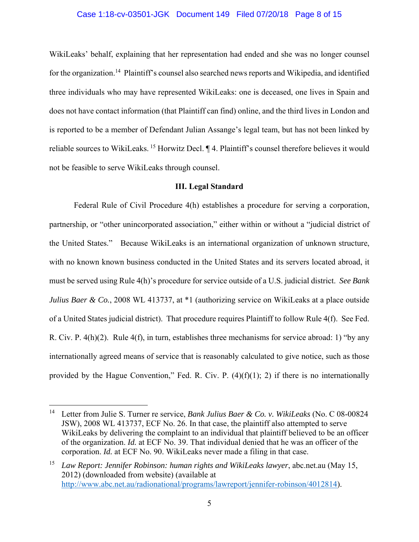#### Case 1:18-cv-03501-JGK Document 149 Filed 07/20/18 Page 8 of 15

WikiLeaks' behalf, explaining that her representation had ended and she was no longer counsel for the organization.<sup>14</sup> Plaintiff's counsel also searched news reports and Wikipedia, and identified three individuals who may have represented WikiLeaks: one is deceased, one lives in Spain and does not have contact information (that Plaintiff can find) online, and the third lives in London and is reported to be a member of Defendant Julian Assange's legal team, but has not been linked by reliable sources to WikiLeaks. 15 Horwitz Decl. ¶ 4. Plaintiff's counsel therefore believes it would not be feasible to serve WikiLeaks through counsel.

#### **III. Legal Standard**

Federal Rule of Civil Procedure 4(h) establishes a procedure for serving a corporation, partnership, or "other unincorporated association," either within or without a "judicial district of the United States." Because WikiLeaks is an international organization of unknown structure, with no known known business conducted in the United States and its servers located abroad, it must be served using Rule 4(h)'s procedure for service outside of a U.S. judicial district. *See Bank Julius Baer & Co.*, 2008 WL 413737, at \*1 (authorizing service on WikiLeaks at a place outside of a United States judicial district). That procedure requires Plaintiff to follow Rule 4(f). See Fed. R. Civ. P. 4(h)(2). Rule 4(f), in turn, establishes three mechanisms for service abroad: 1) "by any internationally agreed means of service that is reasonably calculated to give notice, such as those provided by the Hague Convention," Fed. R. Civ. P.  $(4)(f)(1)$ ; 2) if there is no internationally

1

<sup>14</sup> Letter from Julie S. Turner re service, *Bank Julius Baer & Co. v. WikiLeaks* (No. C 08-00824 JSW), 2008 WL 413737, ECF No. 26. In that case, the plaintiff also attempted to serve WikiLeaks by delivering the complaint to an individual that plaintiff believed to be an officer of the organization. *Id.* at ECF No. 39. That individual denied that he was an officer of the corporation. *Id.* at ECF No. 90. WikiLeaks never made a filing in that case.

<sup>15</sup> *Law Report: Jennifer Robinson: human rights and WikiLeaks lawyer*, abc.net.au (May 15, 2012) (downloaded from website) (available at http://www.abc.net.au/radionational/programs/lawreport/jennifer-robinson/4012814).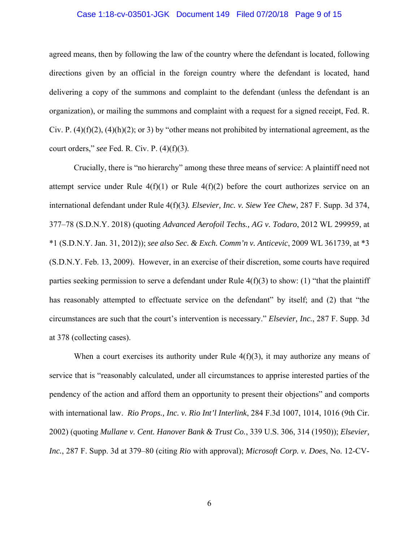#### Case 1:18-cv-03501-JGK Document 149 Filed 07/20/18 Page 9 of 15

agreed means, then by following the law of the country where the defendant is located, following directions given by an official in the foreign country where the defendant is located, hand delivering a copy of the summons and complaint to the defendant (unless the defendant is an organization), or mailing the summons and complaint with a request for a signed receipt, Fed. R. Civ. P.  $(4)(f)(2)$ ,  $(4)(h)(2)$ ; or 3) by "other means not prohibited by international agreement, as the court orders," *see* Fed. R. Civ. P. (4)(f)(3).

Crucially, there is "no hierarchy" among these three means of service: A plaintiff need not attempt service under Rule  $4(f)(1)$  or Rule  $4(f)(2)$  before the court authorizes service on an international defendant under Rule 4(f)(3*). Elsevier, Inc. v. Siew Yee Chew*, 287 F. Supp. 3d 374, 377–78 (S.D.N.Y. 2018) (quoting *Advanced Aerofoil Techs., AG v. Todaro*, 2012 WL 299959, at \*1 (S.D.N.Y. Jan. 31, 2012)); *see also Sec. & Exch. Comm'n v. Anticevic*, 2009 WL 361739, at \*3 (S.D.N.Y. Feb. 13, 2009). However, in an exercise of their discretion, some courts have required parties seeking permission to serve a defendant under Rule  $4(f)(3)$  to show: (1) "that the plaintiff has reasonably attempted to effectuate service on the defendant" by itself; and (2) that "the circumstances are such that the court's intervention is necessary." *Elsevier, Inc.*, 287 F. Supp. 3d at 378 (collecting cases).

When a court exercises its authority under Rule  $4(f)(3)$ , it may authorize any means of service that is "reasonably calculated, under all circumstances to apprise interested parties of the pendency of the action and afford them an opportunity to present their objections" and comports with international law. *Rio Props., Inc. v. Rio Int'l Interlink*, 284 F.3d 1007, 1014, 1016 (9th Cir. 2002) (quoting *Mullane v. Cent. Hanover Bank & Trust Co.*, 339 U.S. 306, 314 (1950)); *Elsevier, Inc.*, 287 F. Supp. 3d at 379–80 (citing *Rio* with approval); *Microsoft Corp. v. Does*, No. 12-CV-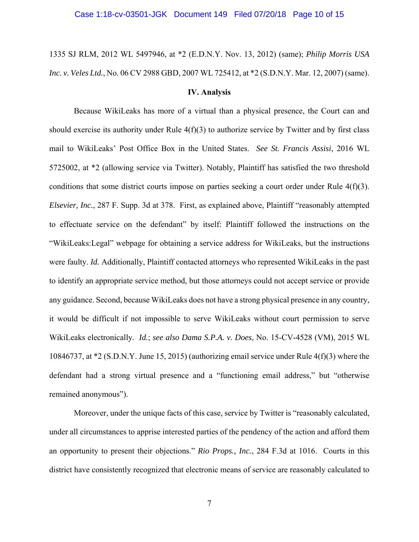# 1335 SJ RLM, 2012 WL 5497946, at \*2 (E.D.N.Y. Nov. 13, 2012) (same); *Philip Morris USA Inc. v. Veles Ltd.*, No. 06 CV 2988 GBD, 2007 WL 725412, at \*2 (S.D.N.Y. Mar. 12, 2007) (same).

#### **IV. Analysis**

Because WikiLeaks has more of a virtual than a physical presence, the Court can and should exercise its authority under Rule  $4(f)(3)$  to authorize service by Twitter and by first class mail to WikiLeaks' Post Office Box in the United States. *See St. Francis Assisi*, 2016 WL 5725002, at \*2 (allowing service via Twitter). Notably, Plaintiff has satisfied the two threshold conditions that some district courts impose on parties seeking a court order under Rule 4(f)(3). *Elsevier, Inc.*, 287 F. Supp. 3d at 378. First, as explained above, Plaintiff "reasonably attempted to effectuate service on the defendant" by itself: Plaintiff followed the instructions on the "WikiLeaks:Legal" webpage for obtaining a service address for WikiLeaks, but the instructions were faulty. *Id.* Additionally, Plaintiff contacted attorneys who represented WikiLeaks in the past to identify an appropriate service method, but those attorneys could not accept service or provide any guidance. Second, because WikiLeaks does not have a strong physical presence in any country, it would be difficult if not impossible to serve WikiLeaks without court permission to serve WikiLeaks electronically. *Id.*; *see also Dama S.P.A. v. Does*, No. 15-CV-4528 (VM), 2015 WL 10846737, at \*2 (S.D.N.Y. June 15, 2015) (authorizing email service under Rule 4(f)(3) where the defendant had a strong virtual presence and a "functioning email address," but "otherwise remained anonymous").

Moreover, under the unique facts of this case, service by Twitter is "reasonably calculated, under all circumstances to apprise interested parties of the pendency of the action and afford them an opportunity to present their objections." *Rio Props., Inc.*, 284 F.3d at 1016. Courts in this district have consistently recognized that electronic means of service are reasonably calculated to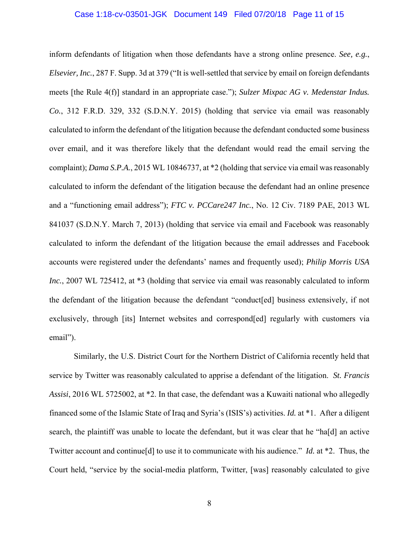#### Case 1:18-cv-03501-JGK Document 149 Filed 07/20/18 Page 11 of 15

inform defendants of litigation when those defendants have a strong online presence. *See, e.g.*, *Elsevier, Inc.*, 287 F. Supp. 3d at 379 ("It is well-settled that service by email on foreign defendants meets [the Rule 4(f)] standard in an appropriate case."); *Sulzer Mixpac AG v. Medenstar Indus. Co.*, 312 F.R.D. 329, 332 (S.D.N.Y. 2015) (holding that service via email was reasonably calculated to inform the defendant of the litigation because the defendant conducted some business over email, and it was therefore likely that the defendant would read the email serving the complaint); *Dama S.P.A.*, 2015 WL 10846737, at \*2 (holding that service via email was reasonably calculated to inform the defendant of the litigation because the defendant had an online presence and a "functioning email address"); *FTC v. PCCare247 Inc.*, No. 12 Civ. 7189 PAE, 2013 WL 841037 (S.D.N.Y. March 7, 2013) (holding that service via email and Facebook was reasonably calculated to inform the defendant of the litigation because the email addresses and Facebook accounts were registered under the defendants' names and frequently used); *Philip Morris USA Inc.*, 2007 WL 725412, at \*3 (holding that service via email was reasonably calculated to inform the defendant of the litigation because the defendant "conduct[ed] business extensively, if not exclusively, through [its] Internet websites and correspond[ed] regularly with customers via email").

Similarly, the U.S. District Court for the Northern District of California recently held that service by Twitter was reasonably calculated to apprise a defendant of the litigation. *St. Francis Assisi*, 2016 WL 5725002, at \*2. In that case, the defendant was a Kuwaiti national who allegedly financed some of the Islamic State of Iraq and Syria's (ISIS's) activities. *Id.* at \*1. After a diligent search, the plaintiff was unable to locate the defendant, but it was clear that he "ha[d] an active Twitter account and continue[d] to use it to communicate with his audience." *Id.* at \*2. Thus, the Court held, "service by the social-media platform, Twitter, [was] reasonably calculated to give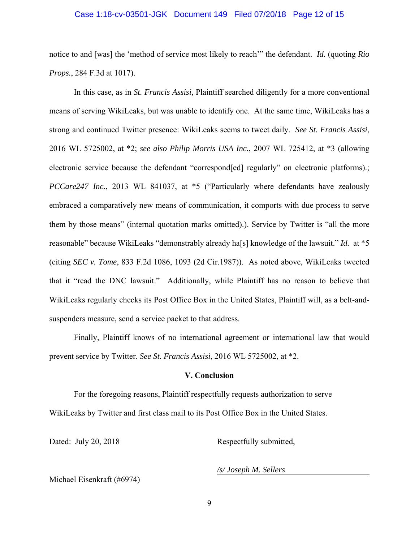## Case 1:18-cv-03501-JGK Document 149 Filed 07/20/18 Page 12 of 15

notice to and [was] the 'method of service most likely to reach'" the defendant. *Id.* (quoting *Rio Props.*, 284 F.3d at 1017).

In this case, as in *St. Francis Assisi*, Plaintiff searched diligently for a more conventional means of serving WikiLeaks, but was unable to identify one. At the same time, WikiLeaks has a strong and continued Twitter presence: WikiLeaks seems to tweet daily. *See St. Francis Assisi*, 2016 WL 5725002, at \*2; *see also Philip Morris USA Inc.*, 2007 WL 725412, at \*3 (allowing electronic service because the defendant "correspond [ed] regularly" on electronic platforms). *PCCare247 Inc.*, 2013 WL 841037, at \*5 ("Particularly where defendants have zealously embraced a comparatively new means of communication, it comports with due process to serve them by those means" (internal quotation marks omitted).). Service by Twitter is "all the more reasonable" because WikiLeaks "demonstrably already ha[s] knowledge of the lawsuit." *Id.* at \*5 (citing *SEC v. Tome*, 833 F.2d 1086, 1093 (2d Cir.1987)). As noted above, WikiLeaks tweeted that it "read the DNC lawsuit." Additionally, while Plaintiff has no reason to believe that WikiLeaks regularly checks its Post Office Box in the United States, Plaintiff will, as a belt-andsuspenders measure, send a service packet to that address.

Finally, Plaintiff knows of no international agreement or international law that would prevent service by Twitter. *See St. Francis Assisi*, 2016 WL 5725002, at \*2.

#### **V. Conclusion**

For the foregoing reasons, Plaintiff respectfully requests authorization to serve WikiLeaks by Twitter and first class mail to its Post Office Box in the United States.

Dated: July 20, 2018 Respectfully submitted,

*/s/ Joseph M. Sellers* 

Michael Eisenkraft (#6974)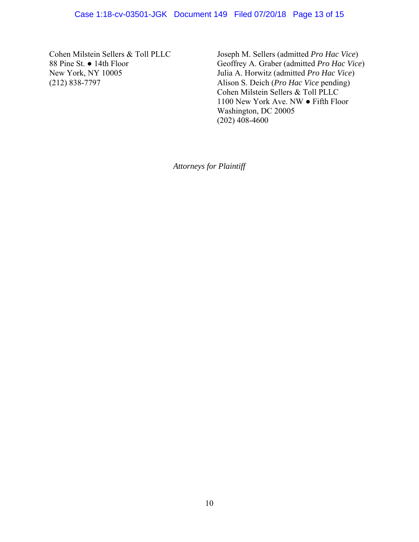Cohen Milstein Sellers & Toll PLLC 88 Pine St. ● 14th Floor New York, NY 10005 (212) 838-7797

 Joseph M. Sellers (admitted *Pro Hac Vice*) Geoffrey A. Graber (admitted *Pro Hac Vice*) Julia A. Horwitz (admitted *Pro Hac Vice*) Alison S. Deich (*Pro Hac Vice* pending) Cohen Milstein Sellers & Toll PLLC 1100 New York Ave. NW ● Fifth Floor Washington, DC 20005  $(202)$  408-4600

*Attorneys for Plaintiff*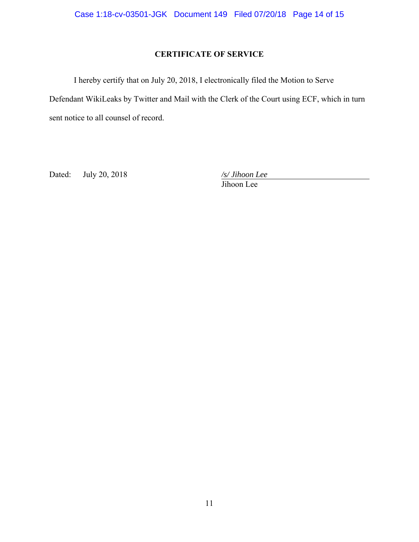# **CERTIFICATE OF SERVICE**

I hereby certify that on July 20, 2018, I electronically filed the Motion to Serve Defendant WikiLeaks by Twitter and Mail with the Clerk of the Court using ECF, which in turn sent notice to all counsel of record.

Dated: July 20, 2018 */s/ Jihoon Lee* 

Jihoon Lee